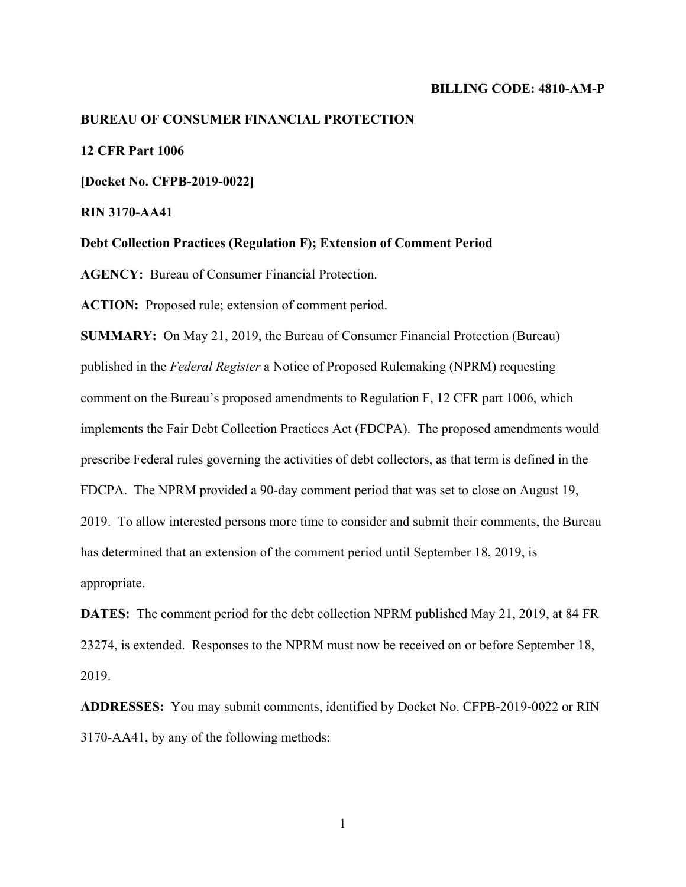#### **BILLING CODE: 4810-AM-P**

#### **BUREAU OF CONSUMER FINANCIAL PROTECTION**

### **12 CFR Part 1006**

**[Docket No. CFPB-2019-0022]** 

**RIN 3170-AA41** 

**Debt Collection Practices (Regulation F); Extension of Comment Period** 

**AGENCY:** Bureau of Consumer Financial Protection.

**ACTION:** Proposed rule; extension of comment period.

**SUMMARY:** On May 21, 2019, the Bureau of Consumer Financial Protection (Bureau) published in the *Federal Register* a Notice of Proposed Rulemaking (NPRM) requesting comment on the Bureau's proposed amendments to Regulation F, 12 CFR part 1006, which implements the Fair Debt Collection Practices Act (FDCPA). The proposed amendments would prescribe Federal rules governing the activities of debt collectors, as that term is defined in the FDCPA. The NPRM provided a 90-day comment period that was set to close on August 19, 2019. To allow interested persons more time to consider and submit their comments, the Bureau has determined that an extension of the comment period until September 18, 2019, is appropriate.

**DATES:** The comment period for the debt collection NPRM published May 21, 2019, at 84 FR 23274, is extended. Responses to the NPRM must now be received on or before September 18, 2019.

**ADDRESSES:** You may submit comments, identified by Docket No. CFPB-2019-0022 or RIN 3170-AA41, by any of the following methods:

1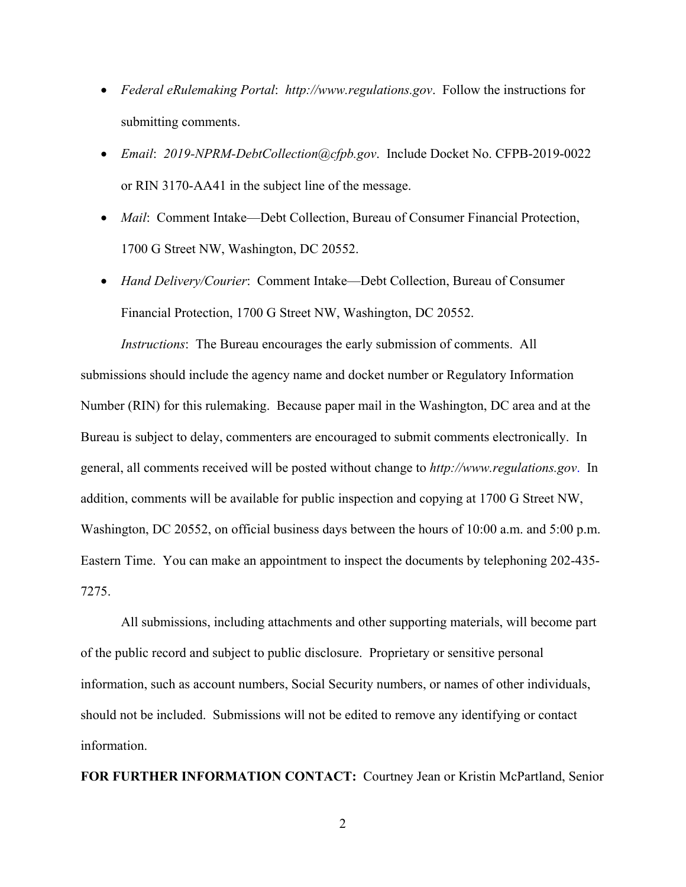- *Federal eRulemaking Portal*: *http://www.regulations.gov*. Follow the instructions for submitting comments.
- *Email*: *2019-NPRM-DebtCollection@cfpb.gov*. Include Docket No. CFPB-2019-0022 or RIN 3170-AA41 in the subject line of the message.
- *Mail*: Comment Intake—Debt Collection, Bureau of Consumer Financial Protection, 1700 G Street NW, Washington, DC 20552.
- *Hand Delivery/Courier*: Comment Intake—Debt Collection, Bureau of Consumer Financial Protection, 1700 G Street NW, Washington, DC 20552.

*Instructions*: The Bureau encourages the early submission of comments. All submissions should include the agency name and docket number or Regulatory Information Number (RIN) for this rulemaking. Because paper mail in the Washington, DC area and at the Bureau is subject to delay, commenters are encouraged to submit comments electronically. In general, all comments received will be posted without change to *http://www.regulations.gov*. In addition, comments will be available for public inspection and copying at 1700 G Street NW, Washington, DC 20552, on official business days between the hours of 10:00 a.m. and 5:00 p.m. Eastern Time. You can make an appointment to inspect the documents by telephoning 202-435- 7275.

All submissions, including attachments and other supporting materials, will become part of the public record and subject to public disclosure. Proprietary or sensitive personal information, such as account numbers, Social Security numbers, or names of other individuals, should not be included. Submissions will not be edited to remove any identifying or contact information.

**FOR FURTHER INFORMATION CONTACT:** Courtney Jean or Kristin McPartland, Senior

2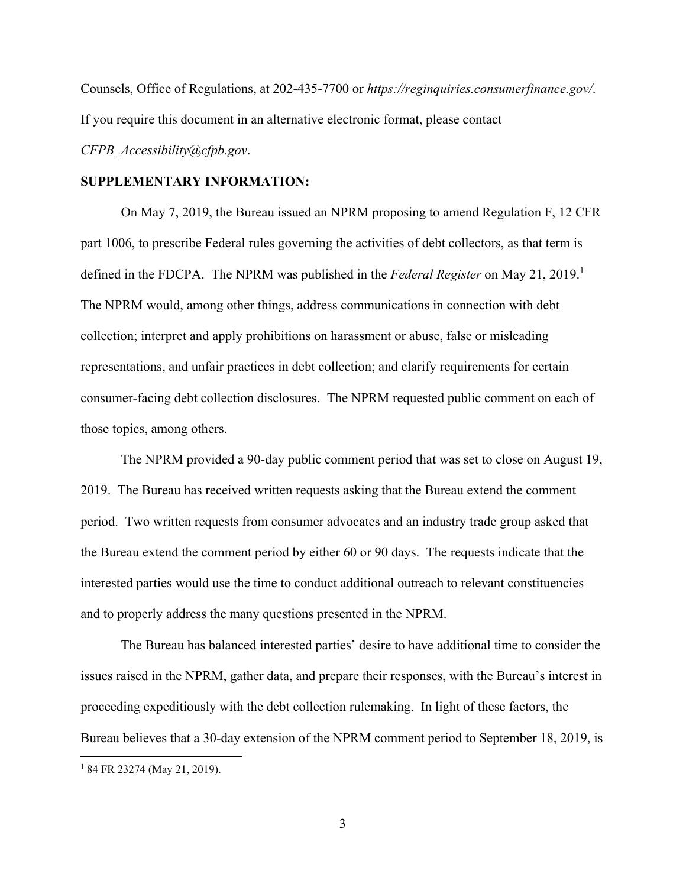Counsels, Office of Regulations, at 202-435-7700 or *https://reginquiries.consumerfinance.gov/*. If you require this document in an alternative electronic format, please contact *CFPB\_Accessibility@cfpb.gov*.

## **SUPPLEMENTARY INFORMATION:**

On May 7, 2019, the Bureau issued an NPRM proposing to amend Regulation F, 12 CFR part 1006, to prescribe Federal rules governing the activities of debt collectors, as that term is defined in the FDCPA. The NPRM was published in the *Federal Register* on May 21, 2019.<sup>1</sup> The NPRM would, among other things, address communications in connection with debt collection; interpret and apply prohibitions on harassment or abuse, false or misleading representations, and unfair practices in debt collection; and clarify requirements for certain consumer-facing debt collection disclosures. The NPRM requested public comment on each of those topics, among others.

The NPRM provided a 90-day public comment period that was set to close on August 19, 2019. The Bureau has received written requests asking that the Bureau extend the comment period. Two written requests from consumer advocates and an industry trade group asked that the Bureau extend the comment period by either 60 or 90 days. The requests indicate that the interested parties would use the time to conduct additional outreach to relevant constituencies and to properly address the many questions presented in the NPRM.

The Bureau has balanced interested parties' desire to have additional time to consider the issues raised in the NPRM, gather data, and prepare their responses, with the Bureau's interest in proceeding expeditiously with the debt collection rulemaking. In light of these factors, the Bureau believes that a 30-day extension of the NPRM comment period to September 18, 2019, is 1 1 84 FR 23274 (May 21, 2019).

3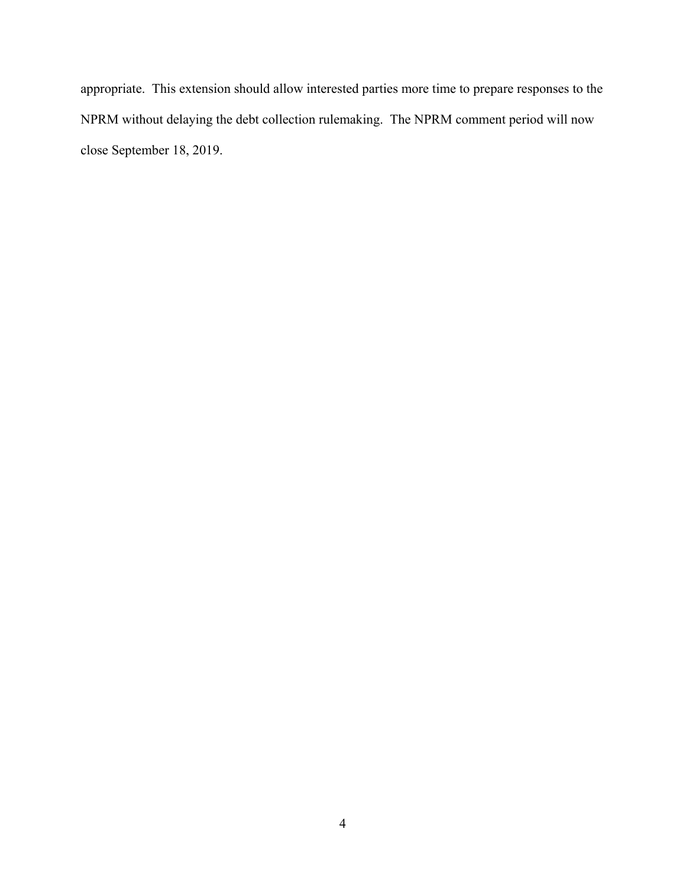appropriate. This extension should allow interested parties more time to prepare responses to the NPRM without delaying the debt collection rulemaking. The NPRM comment period will now close September 18, 2019.